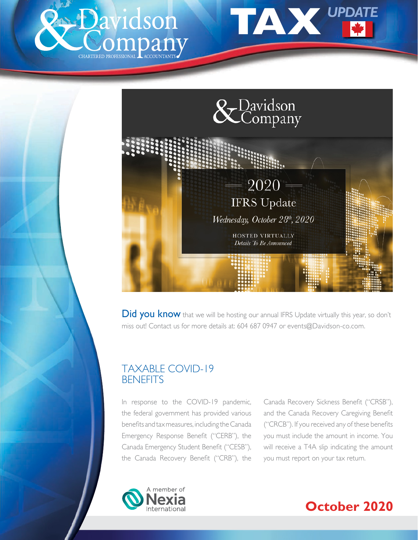





**Did you know** that we will be hosting our annual IFRS Update virtually this year, so don't miss out! Contact us for more details at: 604 687 0947 or events@Davidson-co.com.

# TAXABLE COVID-19 **BENEFITS**

In response to the COVID-19 pandemic, the federal government has provided various benefits and tax measures, including the Canada Emergency Response Benefit ("CERB"), the Canada Emergency Student Benefit ("CESB"), the Canada Recovery Benefit ("CRB"), the

Canada Recovery Sickness Benefit ("CRSB"), and the Canada Recovery Caregiving Benefit ("CRCB"). If you received any of these benefits you must include the amount in income. You will receive a T4A slip indicating the amount you must report on your tax return.



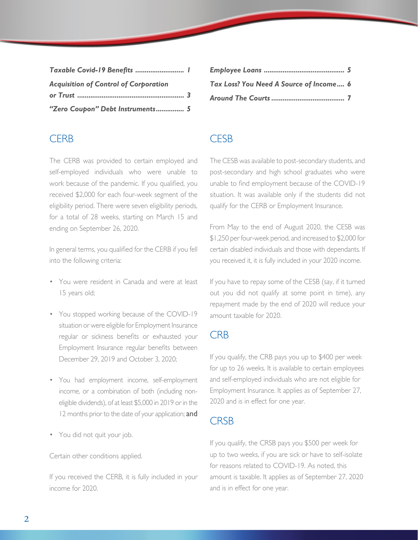| Taxable Covid-19 Benefits  1                 |  |
|----------------------------------------------|--|
| <b>Acquisition of Control of Corporation</b> |  |
|                                              |  |
| "Zero Coupon" Debt Instruments 5             |  |

### **CFRB**

The CERB was provided to certain employed and self-employed individuals who were unable to work because of the pandemic. If you qualified, you received \$2,000 for each four-week segment of the eligibility period. There were seven eligibility periods, for a total of 28 weeks, starting on March 15 and ending on September 26, 2020.

In general terms, you qualified for the CERB if you fell into the following criteria:

- You were resident in Canada and were at least 15 years old;
- You stopped working because of the COVID-19 situation or were eligible for Employment Insurance regular or sickness benefits or exhausted your Employment Insurance regular benefits between December 29, 2019 and October 3, 2020;
- You had employment income, self-employment income, or a combination of both (including noneligible dividends), of at least \$5,000 in 2019 or in the 12 months prior to the date of your application; and
- You did not quit your job.

Certain other conditions applied.

If you received the CERB, it is fully included in your income for 2020.

| Tax Loss? You Need A Source of Income 6 |  |
|-----------------------------------------|--|
|                                         |  |

# **CFSB**

The CESB was available to post-secondary students, and post-secondary and high school graduates who were unable to find employment because of the COVID-19 situation. It was available only if the students did not qualify for the CERB or Employment Insurance.

From May to the end of August 2020, the CESB was \$1,250 per four-week period, and increased to \$2,000 for certain disabled individuals and those with dependants. If you received it, it is fully included in your 2020 income.

If you have to repay some of the CESB (say, if it turned out you did not qualify at some point in time), any repayment made by the end of 2020 will reduce your amount taxable for 2020.

### **CRB**

If you qualify, the CRB pays you up to \$400 per week for up to 26 weeks. It is available to certain employees and self-employed individuals who are not eligible for Employment Insurance. It applies as of September 27, 2020 and is in effect for one year.

### **CRSB**

If you qualify, the CRSB pays you \$500 per week for up to two weeks, if you are sick or have to self-isolate for reasons related to COVID-19. As noted, this amount is taxable. It applies as of September 27, 2020 and is in effect for one year.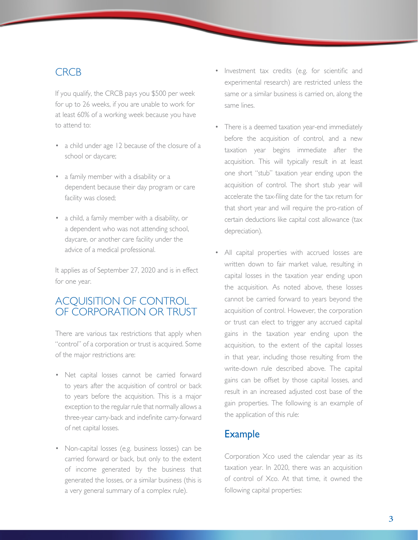#### **CRCB**

If you qualify, the CRCB pays you \$500 per week for up to 26 weeks, if you are unable to work for at least 60% of a working week because you have to attend to:

- a child under age 12 because of the closure of a school or daycare;
- a family member with a disability or a dependent because their day program or care facility was closed;
- a child, a family member with a disability, or a dependent who was not attending school, daycare, or another care facility under the advice of a medical professional.

It applies as of September 27, 2020 and is in effect for one year.

# ACQUISITION OF CONTROL OF CORPORATION OR TRUST

There are various tax restrictions that apply when "control" of a corporation or trust is acquired. Some of the major restrictions are:

- Net capital losses cannot be carried forward to years after the acquisition of control or back to years before the acquisition. This is a major exception to the regular rule that normally allows a three-year carry-back and indefinite carry-forward of net capital losses.
- Non-capital losses (e.g. business losses) can be carried forward or back, but only to the extent of income generated by the business that generated the losses, or a similar business (this is a very general summary of a complex rule).
- Investment tax credits (e.g. for scientific and experimental research) are restricted unless the same or a similar business is carried on, along the same lines.
- There is a deemed taxation year-end immediately before the acquisition of control, and a new taxation year begins immediate after the acquisition. This will typically result in at least one short "stub" taxation year ending upon the acquisition of control. The short stub year will accelerate the tax-filing date for the tax return for that short year and will require the pro-ration of certain deductions like capital cost allowance (tax depreciation).
- All capital properties with accrued losses are written down to fair market value, resulting in capital losses in the taxation year ending upon the acquisition. As noted above, these losses cannot be carried forward to years beyond the acquisition of control. However, the corporation or trust can elect to trigger any accrued capital gains in the taxation year ending upon the acquisition, to the extent of the capital losses in that year, including those resulting from the write-down rule described above. The capital gains can be offset by those capital losses, and result in an increased adjusted cost base of the gain properties. The following is an example of the application of this rule:

### **Example**

 Corporation Xco used the calendar year as its taxation year. In 2020, there was an acquisition of control of Xco. At that time, it owned the following capital properties: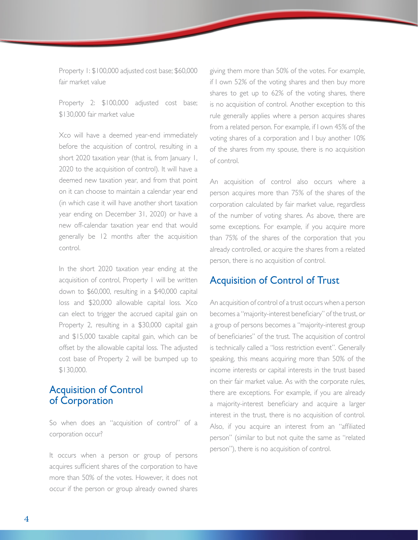Property 1: \$100,000 adjusted cost base; \$60,000 fair market value

Property 2: \$100,000 adjusted cost base; \$130,000 fair market value

 Xco will have a deemed year-end immediately before the acquisition of control, resulting in a short 2020 taxation year (that is, from January 1, 2020 to the acquisition of control). It will have a deemed new taxation year, and from that point on it can choose to maintain a calendar year end (in which case it will have another short taxation year ending on December 31, 2020) or have a new off-calendar taxation year end that would generally be 12 months after the acquisition control.

 In the short 2020 taxation year ending at the acquisition of control, Property 1 will be written down to \$60,000, resulting in a \$40,000 capital loss and \$20,000 allowable capital loss. Xco can elect to trigger the accrued capital gain on Property 2, resulting in a \$30,000 capital gain and \$15,000 taxable capital gain, which can be offset by the allowable capital loss. The adjusted cost base of Property 2 will be bumped up to \$130,000.

#### Acquisition of Control of Corporation

So when does an "acquisition of control" of a corporation occur?

It occurs when a person or group of persons acquires sufficient shares of the corporation to have more than 50% of the votes. However, it does not occur if the person or group already owned shares

giving them more than 50% of the votes. For example, if I own 52% of the voting shares and then buy more shares to get up to 62% of the voting shares, there is no acquisition of control. Another exception to this rule generally applies where a person acquires shares from a related person. For example, if I own 45% of the voting shares of a corporation and I buy another 10% of the shares from my spouse, there is no acquisition of control.

An acquisition of control also occurs where a person acquires more than 75% of the shares of the corporation calculated by fair market value, regardless of the number of voting shares. As above, there are some exceptions. For example, if you acquire more than 75% of the shares of the corporation that you already controlled, or acquire the shares from a related person, there is no acquisition of control.

#### Acquisition of Control of Trust

An acquisition of control of a trust occurs when a person becomes a "majority-interest beneficiary" of the trust, or a group of persons becomes a "majority-interest group of beneficiaries" of the trust. The acquisition of control is technically called a "loss restriction event". Generally speaking, this means acquiring more than 50% of the income interests or capital interests in the trust based on their fair market value. As with the corporate rules, there are exceptions. For example, if you are already a majority-interest beneficiary and acquire a larger interest in the trust, there is no acquisition of control. Also, if you acquire an interest from an "affiliated person" (similar to but not quite the same as "related person"), there is no acquisition of control.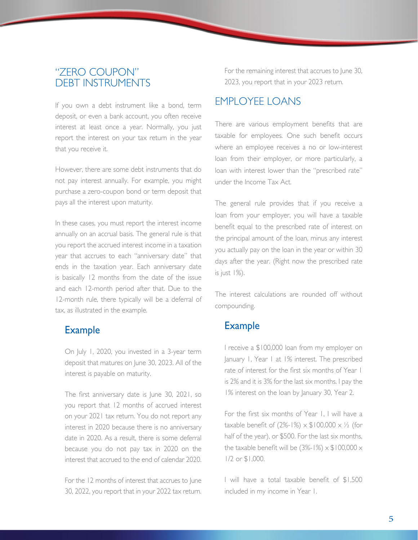### "ZERO COUPON" DEBT INSTRUMENTS

If you own a debt instrument like a bond, term deposit, or even a bank account, you often receive interest at least once a year. Normally, you just report the interest on your tax return in the year that you receive it.

However, there are some debt instruments that do not pay interest annually. For example, you might purchase a zero-coupon bond or term deposit that pays all the interest upon maturity.

In these cases, you must report the interest income annually on an accrual basis. The general rule is that you report the accrued interest income in a taxation year that accrues to each "anniversary date" that ends in the taxation year. Each anniversary date is basically 12 months from the date of the issue and each 12-month period after that. Due to the 12-month rule, there typically will be a deferral of tax, as illustrated in the example.

#### **Example**

 On July 1, 2020, you invested in a 3-year term deposit that matures on June 30, 2023. All of the interest is payable on maturity.

 The first anniversary date is June 30, 2021, so you report that 12 months of accrued interest on your 2021 tax return. You do not report any interest in 2020 because there is no anniversary date in 2020. As a result, there is some deferral because you do not pay tax in 2020 on the interest that accrued to the end of calendar 2020.

For the 12 months of interest that accrues to June 30, 2022, you report that in your 2022 tax return. For the remaining interest that accrues to June 30, 2023, you report that in your 2023 return.

# EMPLOYEE LOANS

There are various employment benefits that are taxable for employees. One such benefit occurs where an employee receives a no or low-interest loan from their employer, or more particularly, a loan with interest lower than the "prescribed rate" under the Income Tax Act.

The general rule provides that if you receive a loan from your employer, you will have a taxable benefit equal to the prescribed rate of interest on the principal amount of the loan, minus any interest you actually pay on the loan in the year or within 30 days after the year. (Right now the prescribed rate is just 1%).

The interest calculations are rounded off without compounding.

### Example

 I receive a \$100,000 loan from my employer on January 1, Year 1 at 1% interest. The prescribed rate of interest for the first six months of Year 1 is 2% and it is 3% for the last six months. I pay the 1% interest on the loan by January 30, Year 2.

 For the first six months of Year 1, I will have a taxable benefit of  $(2\% - 1\%) \times $100,000 \times \frac{1}{2}$  (for half of the year), or \$500. For the last six months, the taxable benefit will be  $(3\% - 1\%) \times $100,000 \times$ 1/2 or \$1,000.

 I will have a total taxable benefit of \$1,500 included in my income in Year 1.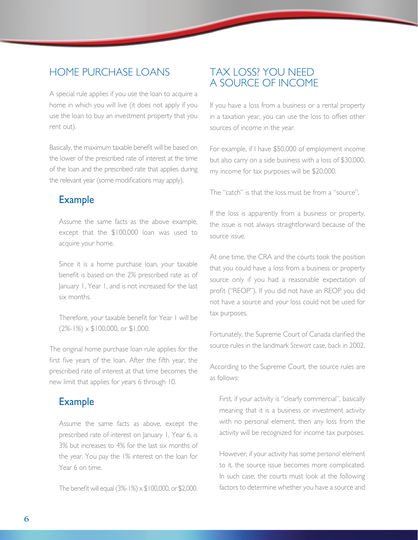### HOME PURCHASE LOANS

A special rule applies if you use the loan to acquire a home in which you will live (it does not apply if you use the loan to buy an investment property that you rent out).

Basically, the maximum taxable benefit will be based on the lower of the prescribed rate of interest at the time of the loan and the prescribed rate that applies during the relevant year (some modifications may apply).

### Example

 Assume the same facts as the above example, except that the \$100,000 loan was used to acquire your home.

 Since it is a home purchase loan, your taxable benefit is based on the 2% prescribed rate as of January 1, Year 1, and is not increased for the last six months.

 Therefore, your taxable benefit for Year 1 will be  $(2\% - 1\%) \times $100,000$ , or \$1,000.

The original home purchase loan rule applies for the first five years of the loan. After the fifth year, the prescribed rate of interest at that time becomes the new limit that applies for years 6 through 10.

# Example

Assume the same facts as above, except the prescribed rate of interest on January 1, Year 6, is 3% but increases to 4% for the last six months of the year. You pay the 1% interest on the loan for Year 6 on time.

The benefit will equal  $(3\frac{2}{5} + 1\%) \times $100,000$ , or \$2,000.

### TAX LOSS? YOU NEED A SOURCE OF INCOME

If you have a loss from a business or a rental property in a taxation year, you can use the loss to offset other sources of income in the year.

For example, if I have \$50,000 of employment income but also carry on a side business with a loss of \$30,000, my income for tax purposes will be \$20,000.

The "catch" is that the loss must be from a "source".

If the loss is apparently from a business or property, the issue is not always straightforward because of the source issue.

At one time, the CRA and the courts took the position that you could have a loss from a business or property source only if you had a reasonable expectation of profit ("REOP"). If you did not have an REOP you did not have a source and your loss could not be used for tax purposes.

Fortunately, the Supreme Court of Canada clarified the source rules in the landmark *Stewart* case, back in 2002.

According to the Supreme Court, the source rules are as follows:

 First, if your activity is "clearly commercial", basically meaning that it is a business or investment activity with no personal element, then any loss from the activity will be recognized for income tax purposes.

 However, if your activity has some *personal* element to it, the source issue becomes more complicated. In such case, the courts must look at the following factors to determine whether you have a source and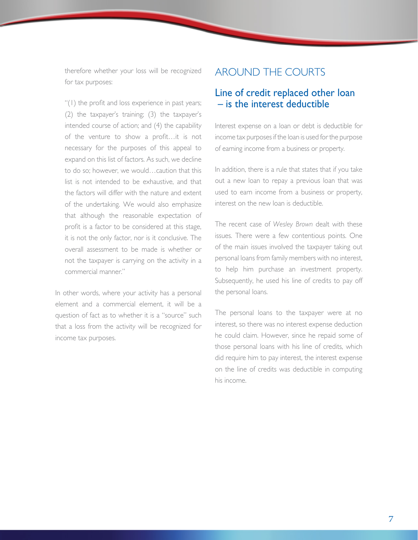therefore whether your loss will be recognized for tax purposes:

 "(1) the profit and loss experience in past years; (2) the taxpayer's training; (3) the taxpayer's intended course of action; and (4) the capability of the venture to show a profit…it is not necessary for the purposes of this appeal to expand on this list of factors. As such, we decline to do so; however, we would…caution that this list is not intended to be exhaustive, and that the factors will differ with the nature and extent of the undertaking. We would also emphasize that although the reasonable expectation of profit is a factor to be considered at this stage, it is not the only factor, nor is it conclusive. The overall assessment to be made is whether or not the taxpayer is carrying on the activity in a commercial manner."

In other words, where your activity has a personal element and a commercial element, it will be a question of fact as to whether it is a "source" such that a loss from the activity will be recognized for income tax purposes.

### AROUND THE COURTS

#### Line of credit replaced other loan – is the interest deductible

Interest expense on a loan or debt is deductible for income tax purposes if the loan is used for the purpose of earning income from a business or property.

In addition, there is a rule that states that if you take out a new loan to repay a previous loan that was used to earn income from a business or property, interest on the new loan is deductible.

The recent case of *Wesley Brown* dealt with these issues. There were a few contentious points. One of the main issues involved the taxpayer taking out personal loans from family members with no interest, to help him purchase an investment property. Subsequently, he used his line of credits to pay off the personal loans.

The personal loans to the taxpayer were at no interest, so there was no interest expense deduction he could claim. However, since he repaid some of those personal loans with his line of credits, which did require him to pay interest, the interest expense on the line of credits was deductible in computing his income.